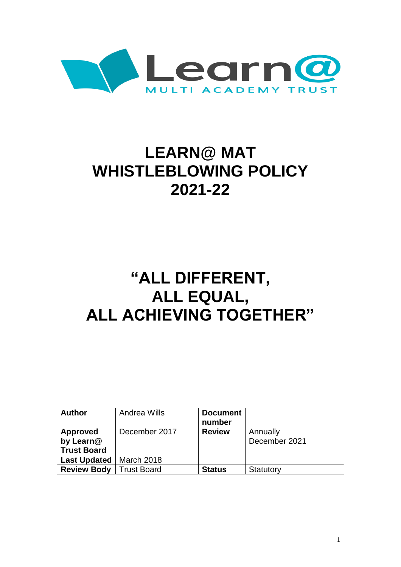

# **LEARN@ MAT WHISTLEBLOWING POLICY 2021-22**

## **"ALL DIFFERENT, ALL EQUAL, ALL ACHIEVING TOGETHER"**

| <b>Author</b>       | Andrea Wills       | <b>Document</b> |               |
|---------------------|--------------------|-----------------|---------------|
|                     |                    | number          |               |
| <b>Approved</b>     | December 2017      | <b>Review</b>   | Annually      |
| by Learn@           |                    |                 | December 2021 |
| <b>Trust Board</b>  |                    |                 |               |
| <b>Last Updated</b> | March 2018         |                 |               |
| <b>Review Body</b>  | <b>Trust Board</b> | <b>Status</b>   | Statutory     |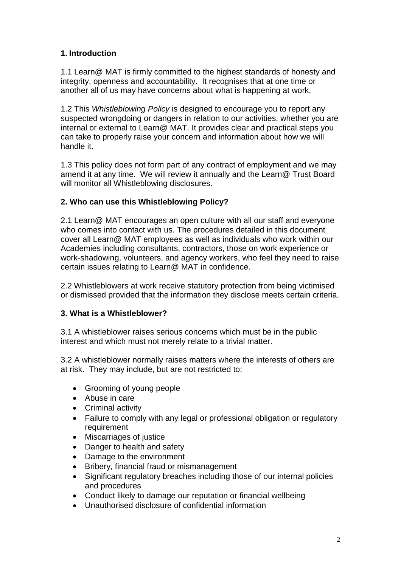## **1. Introduction**

1.1 Learn@ MAT is firmly committed to the highest standards of honesty and integrity, openness and accountability. It recognises that at one time or another all of us may have concerns about what is happening at work.

1.2 This *Whistleblowing Policy* is designed to encourage you to report any suspected wrongdoing or dangers in relation to our activities, whether you are internal or external to Learn@ MAT. It provides clear and practical steps you can take to properly raise your concern and information about how we will handle it.

1.3 This policy does not form part of any contract of employment and we may amend it at any time. We will review it annually and the Learn@ Trust Board will monitor all Whistleblowing disclosures.

## **2. Who can use this Whistleblowing Policy?**

2.1 Learn@ MAT encourages an open culture with all our staff and everyone who comes into contact with us. The procedures detailed in this document cover all Learn@ MAT employees as well as individuals who work within our Academies including consultants, contractors, those on work experience or work-shadowing, volunteers, and agency workers, who feel they need to raise certain issues relating to Learn@ MAT in confidence.

2.2 Whistleblowers at work receive statutory protection from being victimised or dismissed provided that the information they disclose meets certain criteria.

## **3. What is a Whistleblower?**

3.1 A whistleblower raises serious concerns which must be in the public interest and which must not merely relate to a trivial matter.

3.2 A whistleblower normally raises matters where the interests of others are at risk. They may include, but are not restricted to:

- Grooming of young people
- Abuse in care
- Criminal activity
- Failure to comply with any legal or professional obligation or regulatory requirement
- Miscarriages of justice
- Danger to health and safety
- Damage to the environment
- Bribery, financial fraud or mismanagement
- Significant regulatory breaches including those of our internal policies and procedures
- Conduct likely to damage our reputation or financial wellbeing
- Unauthorised disclosure of confidential information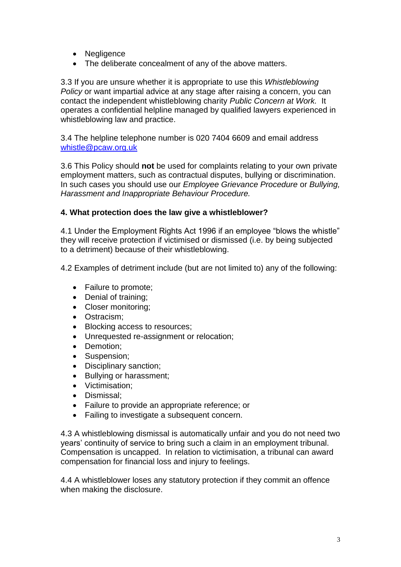- Negligence
- The deliberate concealment of any of the above matters.

3.3 If you are unsure whether it is appropriate to use this *Whistleblowing Policy* or want impartial advice at any stage after raising a concern, you can contact the independent whistleblowing charity *Public Concern at Work.* It operates a confidential helpline managed by qualified lawyers experienced in whistleblowing law and practice.

3.4 The helpline telephone number is 020 7404 6609 and email address [whistle@pcaw.org.uk](mailto:whistle@pcaw.org.uk)

3.6 This Policy should **not** be used for complaints relating to your own private employment matters, such as contractual disputes, bullying or discrimination. In such cases you should use our *Employee Grievance Procedure* or *Bullying, Harassment and Inappropriate Behaviour Procedure.*

#### **4. What protection does the law give a whistleblower?**

4.1 Under the Employment Rights Act 1996 if an employee "blows the whistle" they will receive protection if victimised or dismissed (i.e. by being subjected to a detriment) because of their whistleblowing.

4.2 Examples of detriment include (but are not limited to) any of the following:

- Failure to promote;
- Denial of training;
- Closer monitoring;
- Ostracism;
- Blocking access to resources;
- Unrequested re-assignment or relocation;
- Demotion;
- Suspension;
- Disciplinary sanction;
- Bullying or harassment;
- Victimisation;
- Dismissal;
- Failure to provide an appropriate reference; or
- Failing to investigate a subsequent concern.

4.3 A whistleblowing dismissal is automatically unfair and you do not need two years' continuity of service to bring such a claim in an employment tribunal. Compensation is uncapped. In relation to victimisation, a tribunal can award compensation for financial loss and injury to feelings.

4.4 A whistleblower loses any statutory protection if they commit an offence when making the disclosure.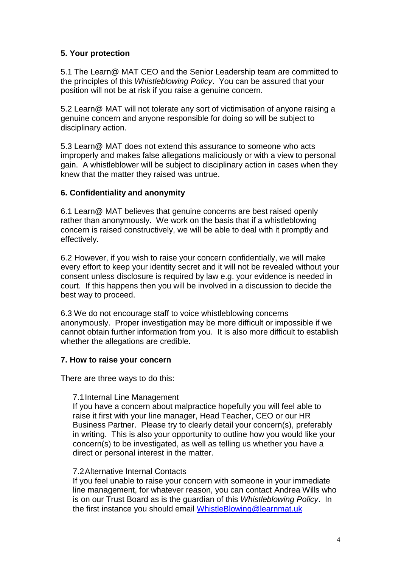## **5. Your protection**

5.1 The Learn@ MAT CEO and the Senior Leadership team are committed to the principles of this *Whistleblowing Policy*. You can be assured that your position will not be at risk if you raise a genuine concern.

5.2 Learn@ MAT will not tolerate any sort of victimisation of anyone raising a genuine concern and anyone responsible for doing so will be subject to disciplinary action.

5.3 Learn@ MAT does not extend this assurance to someone who acts improperly and makes false allegations maliciously or with a view to personal gain. A whistleblower will be subject to disciplinary action in cases when they knew that the matter they raised was untrue.

#### **6. Confidentiality and anonymity**

6.1 Learn@ MAT believes that genuine concerns are best raised openly rather than anonymously. We work on the basis that if a whistleblowing concern is raised constructively, we will be able to deal with it promptly and effectively.

6.2 However, if you wish to raise your concern confidentially, we will make every effort to keep your identity secret and it will not be revealed without your consent unless disclosure is required by law e.g. your evidence is needed in court. If this happens then you will be involved in a discussion to decide the best way to proceed.

6.3 We do not encourage staff to voice whistleblowing concerns anonymously. Proper investigation may be more difficult or impossible if we cannot obtain further information from you. It is also more difficult to establish whether the allegations are credible.

#### **7. How to raise your concern**

There are three ways to do this:

#### 7.1Internal Line Management

If you have a concern about malpractice hopefully you will feel able to raise it first with your line manager, Head Teacher, CEO or our HR Business Partner. Please try to clearly detail your concern(s), preferably in writing. This is also your opportunity to outline how you would like your concern(s) to be investigated, as well as telling us whether you have a direct or personal interest in the matter.

#### 7.2Alternative Internal Contacts

If you feel unable to raise your concern with someone in your immediate line management, for whatever reason, you can contact Andrea Wills who is on our Trust Board as is the guardian of this *Whistleblowing Policy*. In the first instance you should email [WhistleBlowing@learnmat.uk](mailto:WhistleBlowing@learnmat.uk)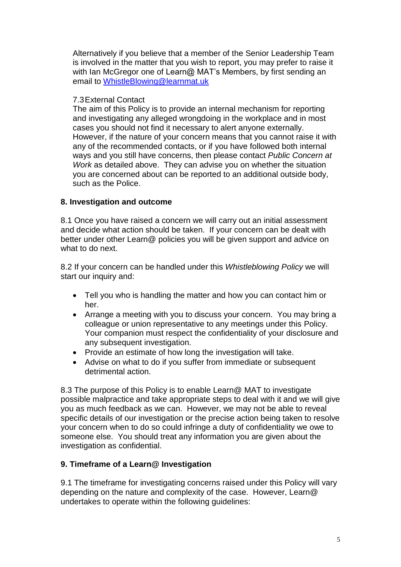Alternatively if you believe that a member of the Senior Leadership Team is involved in the matter that you wish to report, you may prefer to raise it with Ian McGregor one of Learn@ MAT's Members, by first sending an email to [WhistleBlowing@learnmat.uk](mailto:WhistleBlowing@learnmat.uk)

#### 7.3External Contact

The aim of this Policy is to provide an internal mechanism for reporting and investigating any alleged wrongdoing in the workplace and in most cases you should not find it necessary to alert anyone externally. However, if the nature of your concern means that you cannot raise it with any of the recommended contacts, or if you have followed both internal ways and you still have concerns, then please contact *Public Concern at Work* as detailed above. They can advise you on whether the situation you are concerned about can be reported to an additional outside body, such as the Police.

## **8. Investigation and outcome**

8.1 Once you have raised a concern we will carry out an initial assessment and decide what action should be taken. If your concern can be dealt with better under other Learn@ policies you will be given support and advice on what to do next.

8.2 If your concern can be handled under this *Whistleblowing Policy* we will start our inquiry and:

- Tell you who is handling the matter and how you can contact him or her.
- Arrange a meeting with you to discuss your concern. You may bring a colleague or union representative to any meetings under this Policy. Your companion must respect the confidentiality of your disclosure and any subsequent investigation.
- Provide an estimate of how long the investigation will take.
- Advise on what to do if you suffer from immediate or subsequent detrimental action.

8.3 The purpose of this Policy is to enable Learn@ MAT to investigate possible malpractice and take appropriate steps to deal with it and we will give you as much feedback as we can. However, we may not be able to reveal specific details of our investigation or the precise action being taken to resolve your concern when to do so could infringe a duty of confidentiality we owe to someone else. You should treat any information you are given about the investigation as confidential.

## **9. Timeframe of a Learn@ Investigation**

9.1 The timeframe for investigating concerns raised under this Policy will vary depending on the nature and complexity of the case. However, Learn@ undertakes to operate within the following guidelines: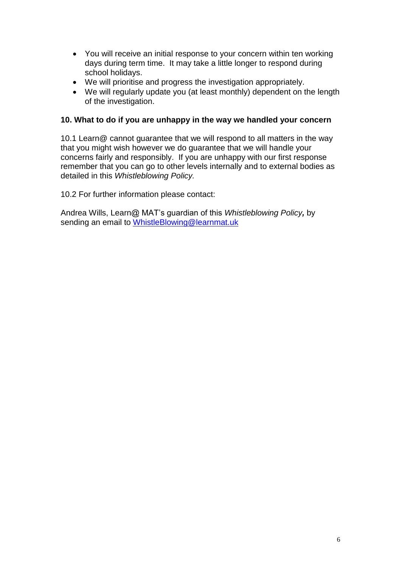- You will receive an initial response to your concern within ten working days during term time. It may take a little longer to respond during school holidays.
- We will prioritise and progress the investigation appropriately.
- We will regularly update you (at least monthly) dependent on the length of the investigation.

#### **10. What to do if you are unhappy in the way we handled your concern**

10.1 Learn@ cannot guarantee that we will respond to all matters in the way that you might wish however we do guarantee that we will handle your concerns fairly and responsibly. If you are unhappy with our first response remember that you can go to other levels internally and to external bodies as detailed in this *Whistleblowing Policy.* 

10.2 For further information please contact:

Andrea Wills, Learn@ MAT's guardian of this *Whistleblowing Policy,* by sending an email to [WhistleBlowing@learnmat.uk](mailto:WhistleBlowing@learnmat.uk)